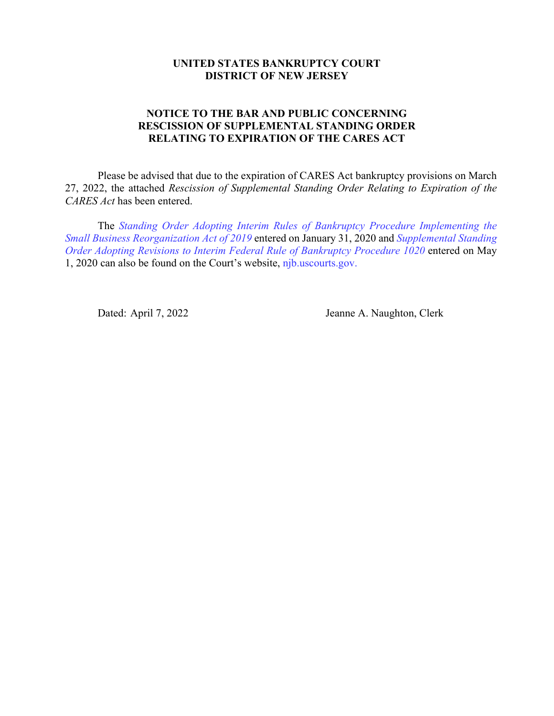## **UNITED STATES BANKRUPTCY COURT DISTRICT OF NEW JERSEY**

## **NOTICE TO THE BAR AND PUBLIC CONCERNING RESCISSION OF SUPPLEMENTAL STANDING ORDER RELATING TO EXPIRATION OF THE CARES ACT**

Please be advised that due to the expiration of CARES Act bankruptcy provisions on March 27, 2022, the attached *Rescission of Supplemental Standing Order Relating to Expiration of the CARES Act* has been entered.

The *[Standing Order Adopting Interim Rules of Bankruptcy Procedure Implementing the](http://www.njb.uscourts.gov/sites/default/files/news/2020_02_10_Notice_to_Bar_re_Small_Business_Subchapter_V_2-19-2020_complete_package.pdf)  [Small Business Reorganization Act of 2019](http://www.njb.uscourts.gov/sites/default/files/news/2020_02_10_Notice_to_Bar_re_Small_Business_Subchapter_V_2-19-2020_complete_package.pdf)* entered on January 31, 2020 and *[Supplemental Standing](http://www.njb.uscourts.gov/sites/default/files/news/2020_05_01_Supplemental_Standing_Order_for_Adoption_of_Interim_Rule_1020_of_BK_Procedure_5-1-20_FINAL_signed_w_attach_complete.pdf)  [Order Adopting Revisions to Interim Federal Rule of Bankruptcy Procedure 1020](http://www.njb.uscourts.gov/sites/default/files/news/2020_05_01_Supplemental_Standing_Order_for_Adoption_of_Interim_Rule_1020_of_BK_Procedure_5-1-20_FINAL_signed_w_attach_complete.pdf)* entered on May 1, 2020 can also be found on the Court's website, [njb.uscourts.gov.](http://www.njb.uscourts.gov/)

Dated: April 7, 2022 Jeanne A. Naughton, Clerk